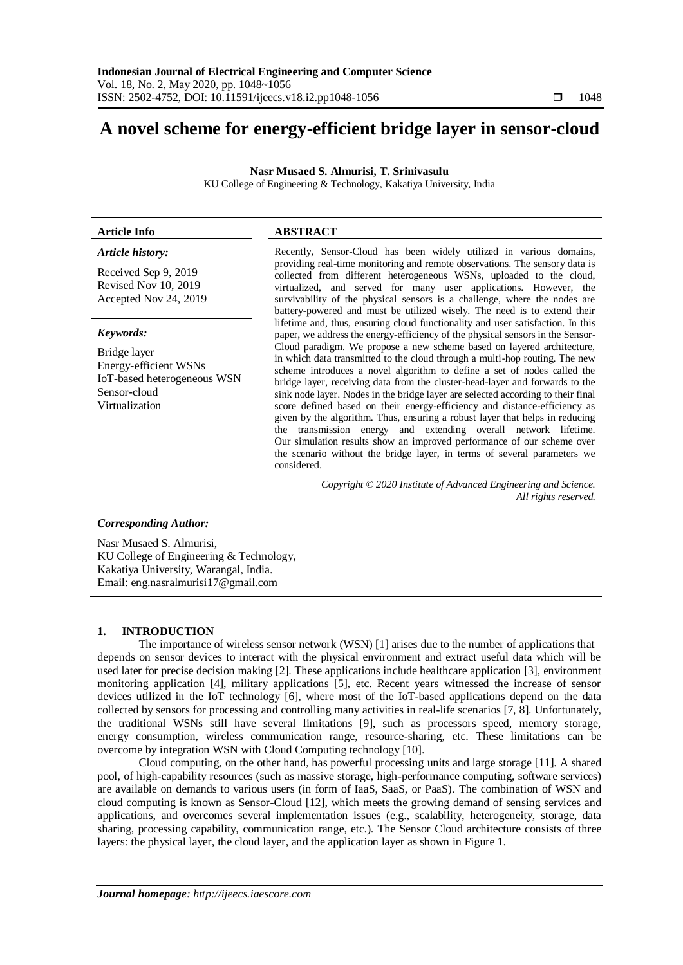# **A novel scheme for energy-efficient bridge layer in sensor-cloud**

**Nasr Musaed S. Almurisi, T. Srinivasulu**

KU College of Engineering & Technology, Kakatiya University, India

# **Article Info ABSTRACT**

*Article history:*

Received Sep 9, 2019 Revised Nov 10, 2019 Accepted Nov 24, 2019

# *Keywords:*

Bridge layer Energy-efficient WSNs IoT-based heterogeneous WSN Sensor-cloud Virtualization

Recently, Sensor-Cloud has been widely utilized in various domains, providing real-time monitoring and remote observations. The sensory data is collected from different heterogeneous WSNs, uploaded to the cloud, virtualized, and served for many user applications. However, the survivability of the physical sensors is a challenge, where the nodes are battery-powered and must be utilized wisely. The need is to extend their lifetime and, thus, ensuring cloud functionality and user satisfaction. In this paper, we address the energy-efficiency of the physical sensors in the Sensor-Cloud paradigm. We propose a new scheme based on layered architecture, in which data transmitted to the cloud through a multi-hop routing. The new scheme introduces a novel algorithm to define a set of nodes called the bridge layer, receiving data from the cluster-head-layer and forwards to the sink node layer. Nodes in the bridge layer are selected according to their final score defined based on their energy-efficiency and distance-efficiency as given by the algorithm. Thus, ensuring a robust layer that helps in reducing the transmission energy and extending overall network lifetime. Our simulation results show an improved performance of our scheme over the scenario without the bridge layer, in terms of several parameters we considered.

> *Copyright © 2020 Institute of Advanced Engineering and Science. All rights reserved.*

# *Corresponding Author:*

Nasr Musaed S. Almurisi, KU College of Engineering & Technology, Kakatiya University, Warangal, India. Email: eng.nasralmurisi17@gmail.com

# **1. INTRODUCTION**

The importance of wireless sensor network (WSN) [1] arises due to the number of applications that depends on sensor devices to interact with the physical environment and extract useful data which will be used later for precise decision making [2]. These applications include healthcare application [3], environment monitoring application [4], military applications [5], etc. Recent years witnessed the increase of sensor devices utilized in the IoT technology [6], where most of the IoT-based applications depend on the data collected by sensors for processing and controlling many activities in real-life scenarios [7, 8]. Unfortunately, the traditional WSNs still have several limitations [9], such as processors speed, memory storage, energy consumption, wireless communication range, resource-sharing, etc. These limitations can be overcome by integration WSN with Cloud Computing technology [10].

Cloud computing, on the other hand, has powerful processing units and large storage [11]. A shared pool, of high-capability resources (such as massive storage, high-performance computing, software services) are available on demands to various users (in form of IaaS, SaaS, or PaaS). The combination of WSN and cloud computing is known as Sensor-Cloud [12], which meets the growing demand of sensing services and applications, and overcomes several implementation issues (e.g., scalability, heterogeneity, storage, data sharing, processing capability, communication range, etc.). The Sensor Cloud architecture consists of three layers: the physical layer, the cloud layer, and the application layer as shown in Figure 1.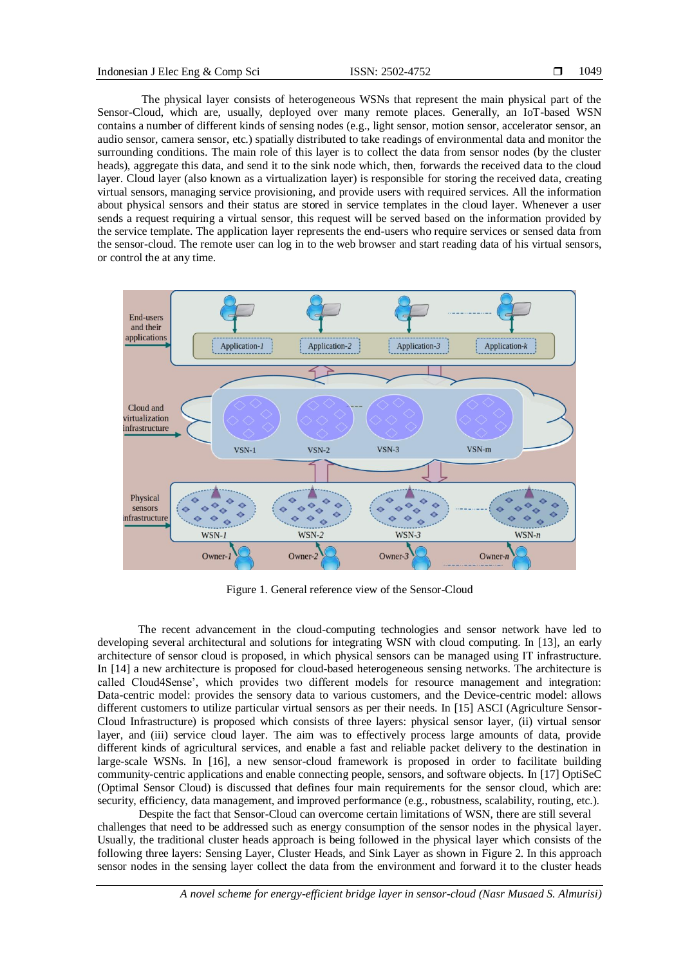The physical layer consists of heterogeneous WSNs that represent the main physical part of the Sensor-Cloud, which are, usually, deployed over many remote places. Generally, an IoT-based WSN contains a number of different kinds of sensing nodes (e.g., light sensor, motion sensor, accelerator sensor, an audio sensor, camera sensor, etc.) spatially distributed to take readings of environmental data and monitor the surrounding conditions. The main role of this layer is to collect the data from sensor nodes (by the cluster heads), aggregate this data, and send it to the sink node which, then, forwards the received data to the cloud layer. Cloud layer (also known as a virtualization layer) is responsible for storing the received data, creating virtual sensors, managing service provisioning, and provide users with required services. All the information about physical sensors and their status are stored in service templates in the cloud layer. Whenever a user sends a request requiring a virtual sensor, this request will be served based on the information provided by the service template. The application layer represents the end-users who require services or sensed data from the sensor-cloud. The remote user can log in to the web browser and start reading data of his virtual sensors, or control the at any time.



Figure 1. General reference view of the Sensor-Cloud

The recent advancement in the cloud-computing technologies and sensor network have led to developing several architectural and solutions for integrating WSN with cloud computing. In [13], an early architecture of sensor cloud is proposed, in which physical sensors can be managed using IT infrastructure. In [14] a new architecture is proposed for cloud-based heterogeneous sensing networks. The architecture is called Cloud4Sense', which provides two different models for resource management and integration: Data-centric model: provides the sensory data to various customers, and the Device-centric model: allows different customers to utilize particular virtual sensors as per their needs. In [15] ASCI (Agriculture Sensor-Cloud Infrastructure) is proposed which consists of three layers: physical sensor layer, (ii) virtual sensor layer, and (iii) service cloud layer. The aim was to effectively process large amounts of data, provide different kinds of agricultural services, and enable a fast and reliable packet delivery to the destination in large-scale WSNs. In [16], a new sensor-cloud framework is proposed in order to facilitate building community-centric applications and enable connecting people, sensors, and software objects. In [17] OptiSeC (Optimal Sensor Cloud) is discussed that defines four main requirements for the sensor cloud, which are: security, efficiency, data management, and improved performance (e.g., robustness, scalability, routing, etc.).

Despite the fact that Sensor-Cloud can overcome certain limitations of WSN, there are still several challenges that need to be addressed such as energy consumption of the sensor nodes in the physical layer. Usually, the traditional cluster heads approach is being followed in the physical layer which consists of the following three layers: Sensing Layer, Cluster Heads, and Sink Layer as shown in Figure 2. In this approach sensor nodes in the sensing layer collect the data from the environment and forward it to the cluster heads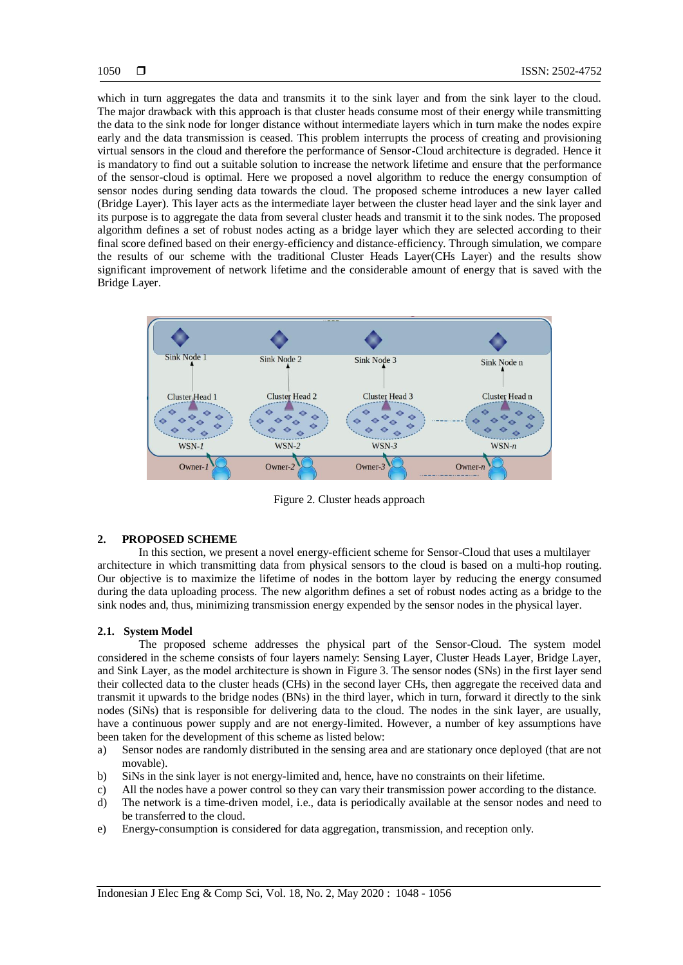which in turn aggregates the data and transmits it to the sink layer and from the sink layer to the cloud. The major drawback with this approach is that cluster heads consume most of their energy while transmitting the data to the sink node for longer distance without intermediate layers which in turn make the nodes expire early and the data transmission is ceased. This problem interrupts the process of creating and provisioning virtual sensors in the cloud and therefore the performance of Sensor-Cloud architecture is degraded. Hence it is mandatory to find out a suitable solution to increase the network lifetime and ensure that the performance of the sensor-cloud is optimal. Here we proposed a novel algorithm to reduce the energy consumption of sensor nodes during sending data towards the cloud. The proposed scheme introduces a new layer called (Bridge Layer). This layer acts as the intermediate layer between the cluster head layer and the sink layer and its purpose is to aggregate the data from several cluster heads and transmit it to the sink nodes. The proposed algorithm defines a set of robust nodes acting as a bridge layer which they are selected according to their final score defined based on their energy-efficiency and distance-efficiency. Through simulation, we compare the results of our scheme with the traditional Cluster Heads Layer(CHs Layer) and the results show significant improvement of network lifetime and the considerable amount of energy that is saved with the Bridge Layer.



Figure 2. Cluster heads approach

# **2. PROPOSED SCHEME**

In this section, we present a novel energy-efficient scheme for Sensor-Cloud that uses a multilayer architecture in which transmitting data from physical sensors to the cloud is based on a multi-hop routing. Our objective is to maximize the lifetime of nodes in the bottom layer by reducing the energy consumed during the data uploading process. The new algorithm defines a set of robust nodes acting as a bridge to the sink nodes and, thus, minimizing transmission energy expended by the sensor nodes in the physical layer.

# **2.1. System Model**

The proposed scheme addresses the physical part of the Sensor-Cloud. The system model considered in the scheme consists of four layers namely: Sensing Layer, Cluster Heads Layer, Bridge Layer, and Sink Layer, as the model architecture is shown in Figure 3. The sensor nodes (SNs) in the first layer send their collected data to the cluster heads (CHs) in the second layer CHs, then aggregate the received data and transmit it upwards to the bridge nodes (BNs) in the third layer, which in turn, forward it directly to the sink nodes (SiNs) that is responsible for delivering data to the cloud. The nodes in the sink layer, are usually, have a continuous power supply and are not energy-limited. However, a number of key assumptions have been taken for the development of this scheme as listed below:

- a) Sensor nodes are randomly distributed in the sensing area and are stationary once deployed (that are not movable).
- b) SiNs in the sink layer is not energy-limited and, hence, have no constraints on their lifetime.
- c) All the nodes have a power control so they can vary their transmission power according to the distance.
- d) The network is a time-driven model, i.e., data is periodically available at the sensor nodes and need to be transferred to the cloud.
- e) Energy-consumption is considered for data aggregation, transmission, and reception only.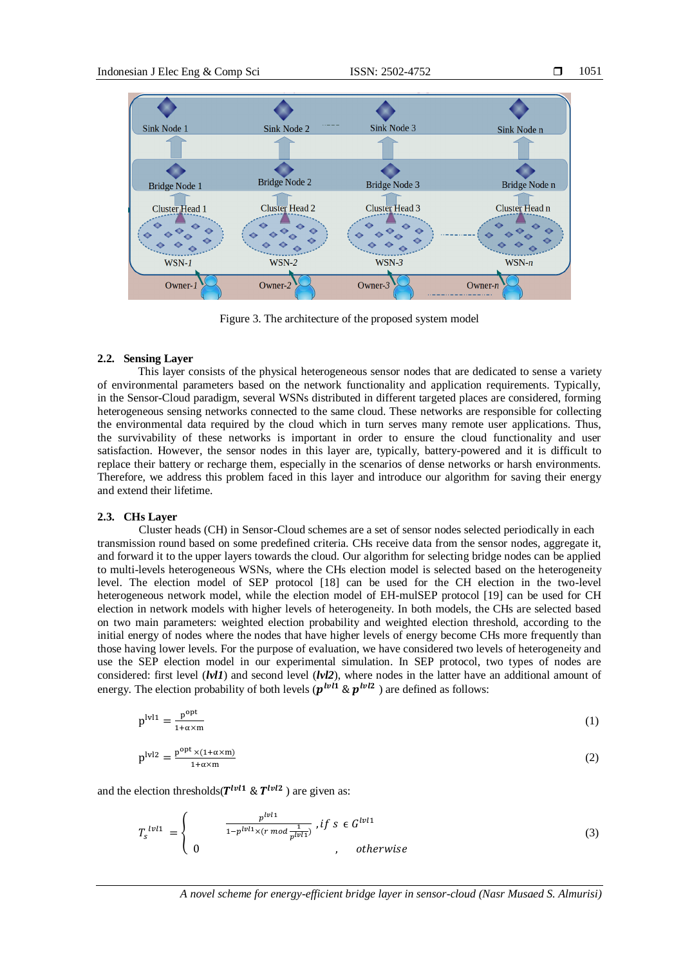

Figure 3. The architecture of the proposed system model

### **2.2. Sensing Layer**

This layer consists of the physical heterogeneous sensor nodes that are dedicated to sense a variety of environmental parameters based on the network functionality and application requirements. Typically, in the Sensor-Cloud paradigm, several WSNs distributed in different targeted places are considered, forming heterogeneous sensing networks connected to the same cloud. These networks are responsible for collecting the environmental data required by the cloud which in turn serves many remote user applications. Thus, the survivability of these networks is important in order to ensure the cloud functionality and user satisfaction. However, the sensor nodes in this layer are, typically, battery-powered and it is difficult to replace their battery or recharge them, especially in the scenarios of dense networks or harsh environments. Therefore, we address this problem faced in this layer and introduce our algorithm for saving their energy and extend their lifetime.

### **2.3. CHs Layer**

Cluster heads (CH) in Sensor-Cloud schemes are a set of sensor nodes selected periodically in each transmission round based on some predefined criteria. CHs receive data from the sensor nodes, aggregate it, and forward it to the upper layers towards the cloud. Our algorithm for selecting bridge nodes can be applied to multi-levels heterogeneous WSNs, where the CHs election model is selected based on the heterogeneity level. The election model of SEP protocol [18] can be used for the CH election in the two-level heterogeneous network model, while the election model of EH-mulSEP protocol [19] can be used for CH election in network models with higher levels of heterogeneity. In both models, the CHs are selected based on two main parameters: weighted election probability and weighted election threshold, according to the initial energy of nodes where the nodes that have higher levels of energy become CHs more frequently than those having lower levels. For the purpose of evaluation, we have considered two levels of heterogeneity and use the SEP election model in our experimental simulation. In SEP protocol, two types of nodes are considered: first level (*lvl1*) and second level (*lvl2*), where nodes in the latter have an additional amount of energy. The election probability of both levels ( $p^{lvl1}$  &  $p^{lvl2}$  ) are defined as follows:

$$
plvl1 = \frac{popt}{1 + \alpha \times m}
$$
 (1)

$$
p^{\text{lv12}} = \frac{p^{\text{opt}} \times (1 + \alpha \times m)}{1 + \alpha \times m}
$$
 (2)

and the election thresholds( $T^{lvl1}$  &  $T^{lvl2}$  ) are given as:

$$
T_s^{lvl1} = \begin{cases} \frac{p^{lvl1}}{1 - p^{lvl1} \times (r \mod \frac{1}{p^{lvl1}})}, & \text{if } s \in G^{lvl1} \\ 0, & \text{otherwise} \end{cases} \tag{3}
$$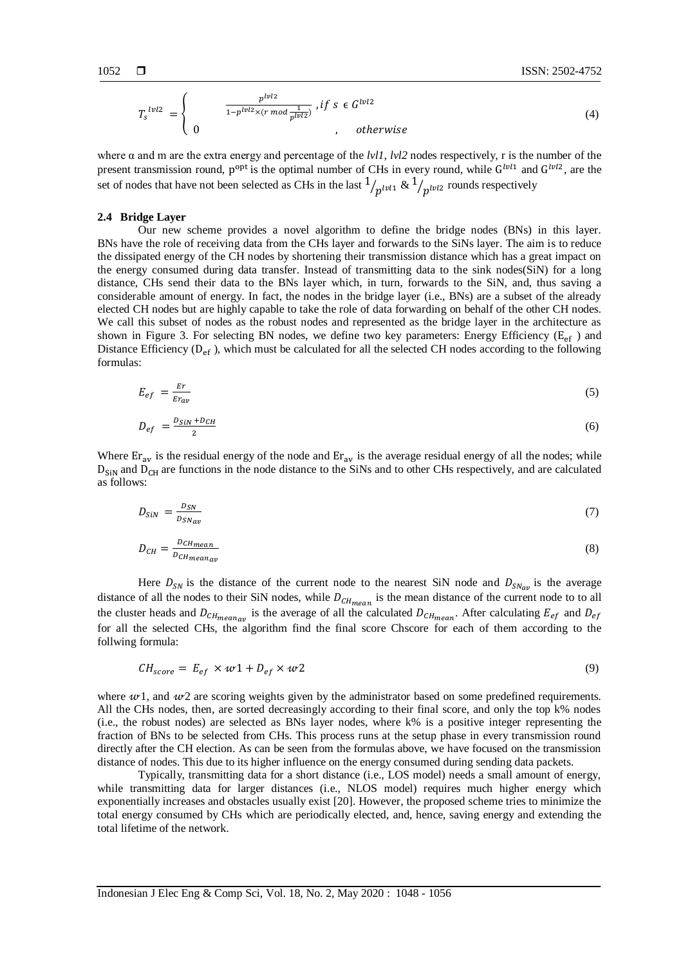$$
T_s^{1v12} = \begin{cases} & \frac{p^{1v12}}{1 - p^{1v12} \times (r \mod \frac{1}{p^{1v12}})}, \text{ if } s \in G^{1v12} \\ 0, & \text{ otherwise} \end{cases} \tag{4}
$$

where α and m are the extra energy and percentage of the *lvl1*, *lvl2* nodes respectively, r is the number of the present transmission round,  $p^{opt}$  is the optimal number of CHs in every round, while  $G^{lvl1}$  and  $G^{lvl2}$ , are the set of nodes that have not been selected as CHs in the last  $1/p^{1v1}$  &  $1/p^{1v12}$  rounds respectively

# **2.4 Bridge Layer**

Our new scheme provides a novel algorithm to define the bridge nodes (BNs) in this layer. BNs have the role of receiving data from the CHs layer and forwards to the SiNs layer. The aim is to reduce the dissipated energy of the CH nodes by shortening their transmission distance which has a great impact on the energy consumed during data transfer. Instead of transmitting data to the sink nodes(SiN) for a long distance, CHs send their data to the BNs layer which, in turn, forwards to the SiN, and, thus saving a considerable amount of energy. In fact, the nodes in the bridge layer (i.e., BNs) are a subset of the already elected CH nodes but are highly capable to take the role of data forwarding on behalf of the other CH nodes. We call this subset of nodes as the robust nodes and represented as the bridge layer in the architecture as shown in Figure 3. For selecting BN nodes, we define two key parameters: Energy Efficiency ( $E_{\text{ef}}$ ) and Distance Efficiency  $(D_{ef})$ , which must be calculated for all the selected CH nodes according to the following formulas:

$$
E_{ef} = \frac{Er}{Er_{av}} \tag{5}
$$

$$
D_{ef} = \frac{D_{\text{S}iN} + D_{\text{CH}}}{2} \tag{6}
$$

Where  $Er_{av}$  is the residual energy of the node and  $Er_{av}$  is the average residual energy of all the nodes; while  $D_{\text{SiN}}$  and  $D_{\text{CH}}$  are functions in the node distance to the SiNs and to other CHs respectively, and are calculated as follows:

$$
D_{\text{SIN}} = \frac{D_{\text{SN}}}{D_{\text{SN}}}
$$
\n<sup>(7)</sup>

$$
D_{CH} = \frac{D_{CHmean}}{D_{CHmean}} \tag{8}
$$

Here  $D_{SN}$  is the distance of the current node to the nearest SiN node and  $D_{SN_{av}}$  is the average distance of all the nodes to their SiN nodes, while  $D_{CHmean}$  is the mean distance of the current node to to all the cluster heads and  $D_{CHmean_{av}}$  is the average of all the calculated  $D_{CHmean}$ . After calculating  $E_{ef}$  and  $D_{ef}$ for all the selected CHs, the algorithm find the final score Chscore for each of them according to the follwing formula:

$$
CH_{score} = E_{ef} \times w1 + D_{ef} \times w2 \tag{9}
$$

where  $w_1$ , and  $w_2$  are scoring weights given by the administrator based on some predefined requirements. All the CHs nodes, then, are sorted decreasingly according to their final score, and only the top k% nodes (i.e., the robust nodes) are selected as BNs layer nodes, where k% is a positive integer representing the fraction of BNs to be selected from CHs. This process runs at the setup phase in every transmission round directly after the CH election. As can be seen from the formulas above, we have focused on the transmission distance of nodes. This due to its higher influence on the energy consumed during sending data packets.

Typically, transmitting data for a short distance (i.e., LOS model) needs a small amount of energy, while transmitting data for larger distances (i.e., NLOS model) requires much higher energy which exponentially increases and obstacles usually exist [20]. However, the proposed scheme tries to minimize the total energy consumed by CHs which are periodically elected, and, hence, saving energy and extending the total lifetime of the network.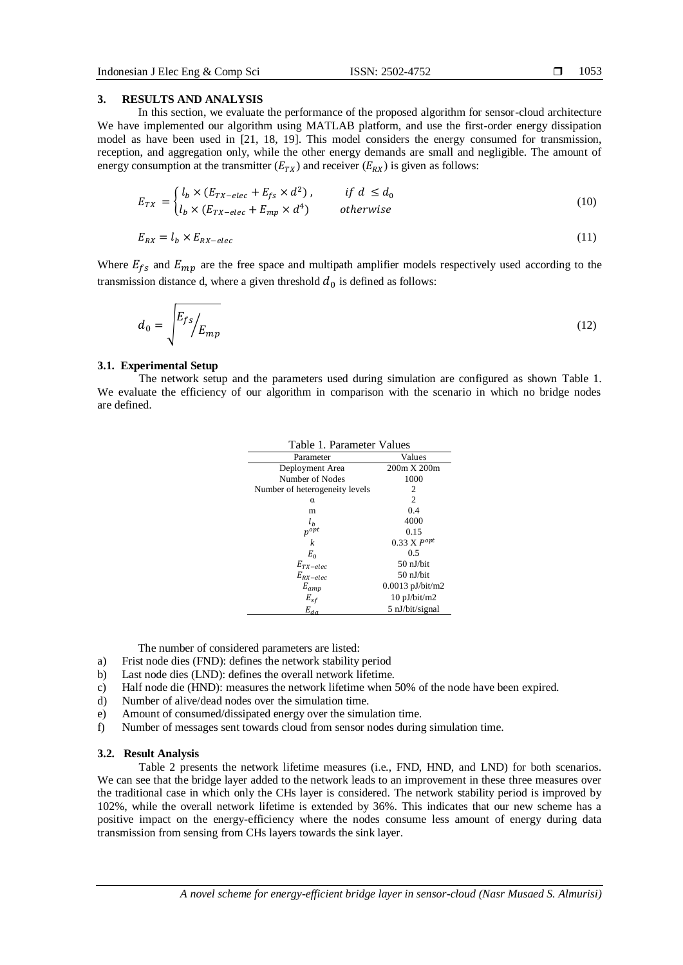# **3. RESULTS AND ANALYSIS**

In this section, we evaluate the performance of the proposed algorithm for sensor-cloud architecture We have implemented our algorithm using MATLAB platform, and use the first-order energy dissipation model as have been used in [21, 18, 19]. This model considers the energy consumed for transmission, reception, and aggregation only, while the other energy demands are small and negligible. The amount of energy consumption at the transmitter  $(E_{TX})$  and receiver  $(E_{RX})$  is given as follows:

$$
E_{TX} = \begin{cases} l_b \times (E_{TX-elec} + E_{fs} \times d^2), & \text{if } d \le d_0 \\ l_b \times (E_{TX-elec} + E_{mp} \times d^4) & \text{otherwise} \end{cases} \tag{10}
$$

$$
E_{RX} = l_b \times E_{RX - elec} \tag{11}
$$

Where  $E_{fs}$  and  $E_{mp}$  are the free space and multipath amplifier models respectively used according to the transmission distance d, where a given threshold  $d_0$  is defined as follows:

$$
d_0 = \sqrt{\frac{E_{fs}}{E_{mp}}} \tag{12}
$$

#### **3.1. Experimental Setup**

The network setup and the parameters used during simulation are configured as shown Table 1. We evaluate the efficiency of our algorithm in comparison with the scenario in which no bridge nodes are defined.

| Table 1. Parameter Values      |                        |  |
|--------------------------------|------------------------|--|
| Parameter                      | Values                 |  |
| Deployment Area                | 200m X 200m            |  |
| Number of Nodes                | 1000                   |  |
| Number of heterogeneity levels | 2                      |  |
| α                              | $\mathfrak{D}$         |  |
| m                              | 0.4                    |  |
| $l_h$                          | 4000                   |  |
| $p^{opt}$                      | 0.15                   |  |
| k                              | $0.33 X P^{opt}$       |  |
| $E_0$                          | 0.5                    |  |
| $E_{TX-elec}$                  | 50 nJ/bit              |  |
| $E_{RX-elec}$                  | $50$ nJ/bit            |  |
| $E_{amp}$                      | $0.0013$ pJ/bit/m2     |  |
| $E_{sf}$                       | $10 \text{ pJ/bit/m2}$ |  |
| $E_{da}$                       | 5 nJ/bit/signal        |  |

The number of considered parameters are listed:

- a) Frist node dies (FND): defines the network stability period
- b) Last node dies (LND): defines the overall network lifetime.
- c) Half node die (HND): measures the network lifetime when 50% of the node have been expired.
- d) Number of alive/dead nodes over the simulation time.
- e) Amount of consumed/dissipated energy over the simulation time.
- f) Number of messages sent towards cloud from sensor nodes during simulation time.

#### **3.2. Result Analysis**

Table 2 presents the network lifetime measures (i.e., FND, HND, and LND) for both scenarios. We can see that the bridge layer added to the network leads to an improvement in these three measures over the traditional case in which only the CHs layer is considered. The network stability period is improved by 102%, while the overall network lifetime is extended by 36%. This indicates that our new scheme has a positive impact on the energy-efficiency where the nodes consume less amount of energy during data transmission from sensing from CHs layers towards the sink layer.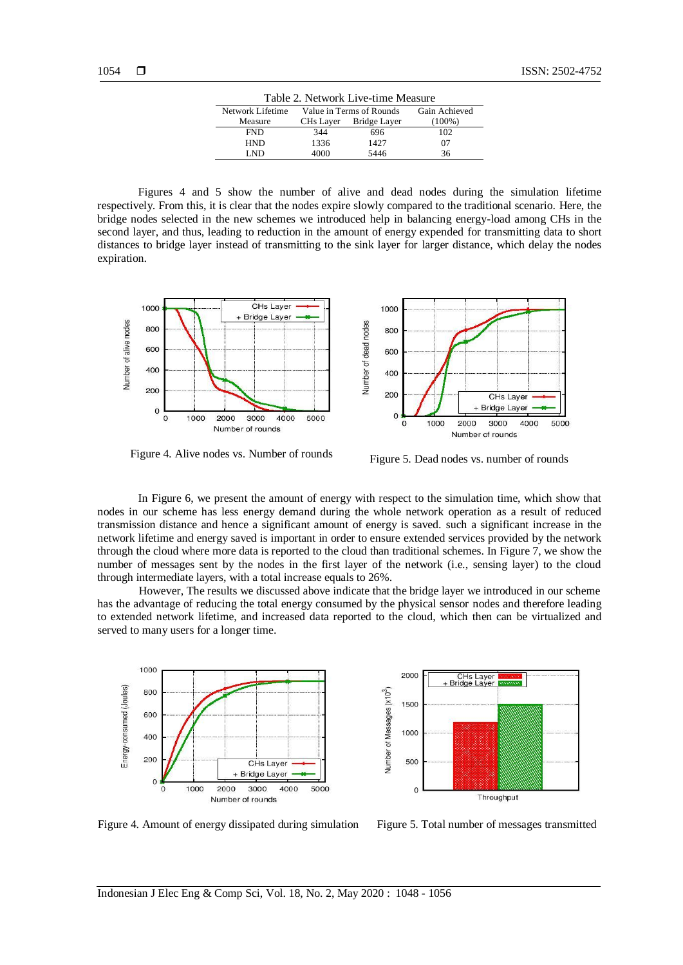| Table 2. Network Live-time Measure |                          |              |               |
|------------------------------------|--------------------------|--------------|---------------|
| Network Lifetime                   | Value in Terms of Rounds |              | Gain Achieved |
| Measure                            | CH <sub>s</sub> Layer    | Bridge Layer | $(100\%)$     |
| <b>FND</b>                         | 344                      | 696          | 102           |
| <b>HND</b>                         | 1336                     | 1427         | 07            |
| I ND                               | 4000                     | 5446         | 36            |

Figures 4 and 5 show the number of alive and dead nodes during the simulation lifetime respectively. From this, it is clear that the nodes expire slowly compared to the traditional scenario. Here, the bridge nodes selected in the new schemes we introduced help in balancing energy-load among CHs in the second layer, and thus, leading to reduction in the amount of energy expended for transmitting data to short distances to bridge layer instead of transmitting to the sink layer for larger distance, which delay the nodes expiration.



Figure 4. Alive nodes vs. Number of rounds Figure 5. Dead nodes vs. number of rounds

In Figure 6, we present the amount of energy with respect to the simulation time, which show that nodes in our scheme has less energy demand during the whole network operation as a result of reduced transmission distance and hence a significant amount of energy is saved. such a significant increase in the network lifetime and energy saved is important in order to ensure extended services provided by the network through the cloud where more data is reported to the cloud than traditional schemes. In Figure 7, we show the number of messages sent by the nodes in the first layer of the network (i.e., sensing layer) to the cloud through intermediate layers, with a total increase equals to 26%.

However, The results we discussed above indicate that the bridge layer we introduced in our scheme has the advantage of reducing the total energy consumed by the physical sensor nodes and therefore leading to extended network lifetime, and increased data reported to the cloud, which then can be virtualized and served to many users for a longer time.





Figure 4. Amount of energy dissipated during simulation Figure 5. Total number of messages transmitted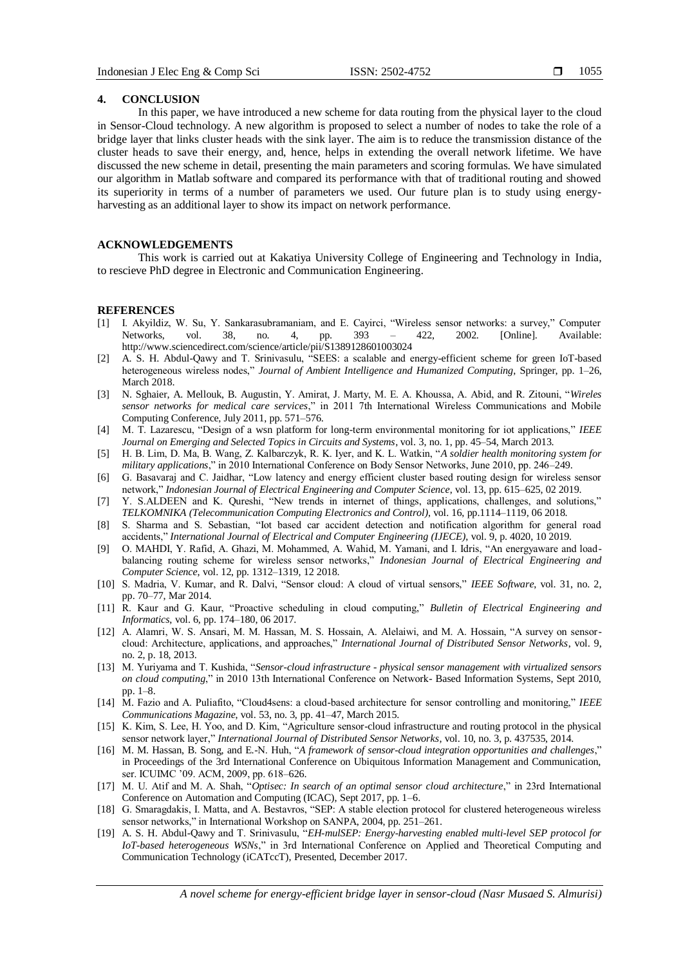# **4. CONCLUSION**

In this paper, we have introduced a new scheme for data routing from the physical layer to the cloud in Sensor-Cloud technology. A new algorithm is proposed to select a number of nodes to take the role of a bridge layer that links cluster heads with the sink layer. The aim is to reduce the transmission distance of the cluster heads to save their energy, and, hence, helps in extending the overall network lifetime. We have discussed the new scheme in detail, presenting the main parameters and scoring formulas. We have simulated our algorithm in Matlab software and compared its performance with that of traditional routing and showed its superiority in terms of a number of parameters we used. Our future plan is to study using energyharvesting as an additional layer to show its impact on network performance.

# **ACKNOWLEDGEMENTS**

This work is carried out at Kakatiya University College of Engineering and Technology in India, to rescieve PhD degree in Electronic and Communication Engineering.

# **REFERENCES**

- [1] I. Akyildiz, W. Su, Y. Sankarasubramaniam, and E. Cayirci, "Wireless sensor networks: a survey," Computer Networks, vol. 38, no. 4, pp. 393 – 422, 2002. [Online]. Available: http://www.sciencedirect.com/science/article/pii/S1389128601003024
- [2] A. S. H. Abdul-Qawy and T. Srinivasulu, "SEES: a scalable and energy-efficient scheme for green IoT-based heterogeneous wireless nodes," *Journal of Ambient Intelligence and Humanized Computing*, Springer, pp. 1–26, March 2018.
- [3] N. Sghaier, A. Mellouk, B. Augustin, Y. Amirat, J. Marty, M. E. A. Khoussa, A. Abid, and R. Zitouni, "*Wireles sensor networks for medical care services*," in 2011 7th International Wireless Communications and Mobile Computing Conference, July 2011, pp. 571–576.
- [4] M. T. Lazarescu, "Design of a wsn platform for long-term environmental monitoring for iot applications," *IEEE Journal on Emerging and Selected Topics in Circuits and Systems*, vol. 3, no. 1, pp. 45–54, March 2013.
- [5] H. B. Lim, D. Ma, B. Wang, Z. Kalbarczyk, R. K. Iyer, and K. L. Watkin, "*A soldier health monitoring system for military applications*," in 2010 International Conference on Body Sensor Networks, June 2010, pp. 246–249.
- [6] G. Basavaraj and C. Jaidhar, "Low latency and energy efficient cluster based routing design for wireless sensor network," *Indonesian Journal of Electrical Engineering and Computer Science*, vol. 13, pp. 615–625, 02 2019.
- [7] Y. S.ALDEEN and K. Qureshi, "New trends in internet of things, applications, challenges, and solutions," *TELKOMNIKA (Telecommunication Computing Electronics and Control)*, vol. 16, pp.1114–1119, 06 2018.
- [8] S. Sharma and S. Sebastian, "Iot based car accident detection and notification algorithm for general road accidents," *International Journal of Electrical and Computer Engineering (IJECE)*, vol. 9, p. 4020, 10 2019.
- [9] O. MAHDI, Y. Rafid, A. Ghazi, M. Mohammed, A. Wahid, M. Yamani, and I. Idris, "An energyaware and loadbalancing routing scheme for wireless sensor networks," *Indonesian Journal of Electrical Engineering and Computer Science*, vol. 12, pp. 1312–1319, 12 2018.
- [10] S. Madria, V. Kumar, and R. Dalvi, "Sensor cloud: A cloud of virtual sensors," *IEEE Software*, vol. 31, no. 2, pp. 70–77, Mar 2014.
- [11] R. Kaur and G. Kaur, "Proactive scheduling in cloud computing," *Bulletin of Electrical Engineering and Informatics*, vol. 6, pp. 174–180, 06 2017.
- [12] A. Alamri, W. S. Ansari, M. M. Hassan, M. S. Hossain, A. Alelaiwi, and M. A. Hossain, "A survey on sensorcloud: Architecture, applications, and approaches," *International Journal of Distributed Sensor Networks*, vol. 9, no. 2, p. 18, 2013.
- [13] M. Yuriyama and T. Kushida, "*Sensor-cloud infrastructure - physical sensor management with virtualized sensors on cloud computing*," in 2010 13th International Conference on Network- Based Information Systems, Sept 2010, pp. 1–8.
- [14] M. Fazio and A. Puliafito, "Cloud4sens: a cloud-based architecture for sensor controlling and monitoring," *IEEE Communications Magazine*, vol. 53, no. 3, pp. 41–47, March 2015.
- [15] K. Kim, S. Lee, H. Yoo, and D. Kim, "Agriculture sensor-cloud infrastructure and routing protocol in the physical sensor network layer," *International Journal of Distributed Sensor Networks*, vol. 10, no. 3, p. 437535, 2014.
- [16] M. M. Hassan, B. Song, and E.-N. Huh, "*A framework of sensor-cloud integration opportunities and challenges*," in Proceedings of the 3rd International Conference on Ubiquitous Information Management and Communication, ser. ICUIMC '09. ACM, 2009, pp. 618–626.
- [17] M. U. Atif and M. A. Shah, "*Optisec: In search of an optimal sensor cloud architecture*," in 23rd International Conference on Automation and Computing (ICAC), Sept 2017, pp. 1–6.
- [18] G. Smaragdakis, I. Matta, and A. Bestavros, "SEP: A stable election protocol for clustered heterogeneous wireless sensor networks," in International Workshop on SANPA, 2004, pp. 251–261.
- [19] A. S. H. Abdul-Qawy and T. Srinivasulu, "*EH-mulSEP: Energy-harvesting enabled multi-level SEP protocol for IoT-based heterogeneous WSNs*," in 3rd International Conference on Applied and Theoretical Computing and Communication Technology (iCATccT), Presented, December 2017.